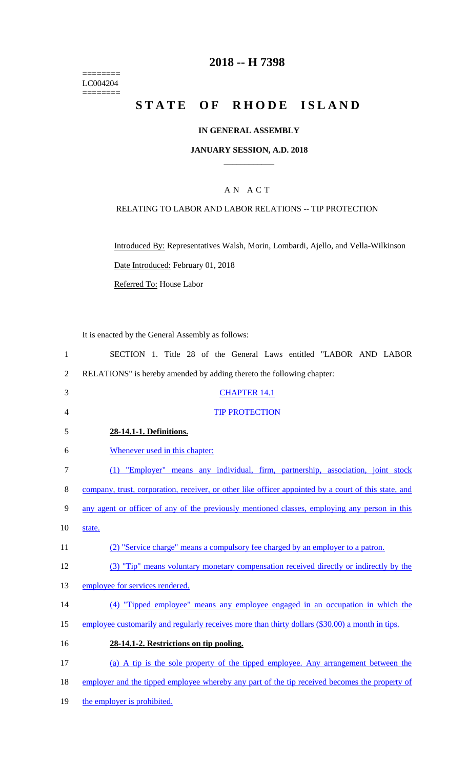======== LC004204  $=$ 

## **2018 -- H 7398**

# STATE OF RHODE ISLAND

## **IN GENERAL ASSEMBLY**

#### **JANUARY SESSION, A.D. 2018 \_\_\_\_\_\_\_\_\_\_\_\_**

## A N A C T

#### RELATING TO LABOR AND LABOR RELATIONS -- TIP PROTECTION

Introduced By: Representatives Walsh, Morin, Lombardi, Ajello, and Vella-Wilkinson Date Introduced: February 01, 2018

Referred To: House Labor

It is enacted by the General Assembly as follows:

| $\mathbf{1}$   | SECTION 1. Title 28 of the General Laws entitled "LABOR AND LABOR                                    |
|----------------|------------------------------------------------------------------------------------------------------|
| $\overline{2}$ | RELATIONS" is hereby amended by adding thereto the following chapter:                                |
| 3              | <b>CHAPTER 14.1</b>                                                                                  |
| 4              | <b>TIP PROTECTION</b>                                                                                |
| 5              | 28-14.1-1. Definitions.                                                                              |
| 6              | Whenever used in this chapter:                                                                       |
| 7              | (1) "Employer" means any individual, firm, partnership, association, joint stock                     |
| $8\,$          | company, trust, corporation, receiver, or other like officer appointed by a court of this state, and |
| 9              | any agent or officer of any of the previously mentioned classes, employing any person in this        |
| 10             | state.                                                                                               |
| 11             | (2) "Service charge" means a compulsory fee charged by an employer to a patron.                      |
| 12             | (3) "Tip" means voluntary monetary compensation received directly or indirectly by the               |
| 13             | employee for services rendered.                                                                      |
| 14             | (4) "Tipped employee" means any employee engaged in an occupation in which the                       |
| 15             | employee customarily and regularly receives more than thirty dollars (\$30.00) a month in tips.      |
| 16             | 28-14.1-2. Restrictions on tip pooling.                                                              |
| 17             | (a) A tip is the sole property of the tipped employee. Any arrangement between the                   |
| 18             | employer and the tipped employee whereby any part of the tip received becomes the property of        |
| 19             | the employer is prohibited.                                                                          |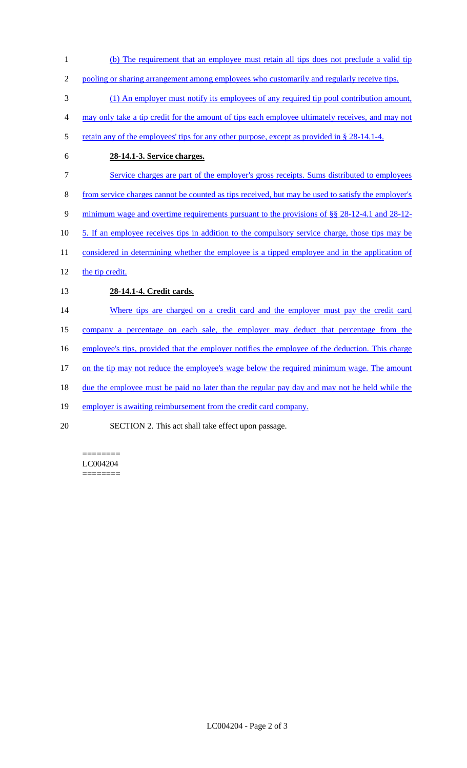- 1 (b) The requirement that an employee must retain all tips does not preclude a valid tip
- 2 pooling or sharing arrangement among employees who customarily and regularly receive tips.
- 3 (1) An employer must notify its employees of any required tip pool contribution amount,
- 4 may only take a tip credit for the amount of tips each employee ultimately receives, and may not
- 5 retain any of the employees' tips for any other purpose, except as provided in § 28-14.1-4.
- 6 **28-14.1-3. Service charges.**
- 7 Service charges are part of the employer's gross receipts. Sums distributed to employees
- 8 from service charges cannot be counted as tips received, but may be used to satisfy the employer's
- 9 minimum wage and overtime requirements pursuant to the provisions of §§ 28-12-4.1 and 28-12-
- 10 5. If an employee receives tips in addition to the compulsory service charge, those tips may be
- 11 considered in determining whether the employee is a tipped employee and in the application of
- 12 the tip credit.

# 13 **28-14.1-4. Credit cards.**

- 14 Where tips are charged on a credit card and the employer must pay the credit card
- 15 company a percentage on each sale, the employer may deduct that percentage from the

16 employee's tips, provided that the employer notifies the employee of the deduction. This charge

- 17 on the tip may not reduce the employee's wage below the required minimum wage. The amount
- 18 due the employee must be paid no later than the regular pay day and may not be held while the
- 19 employer is awaiting reimbursement from the credit card company.
- 20 SECTION 2. This act shall take effect upon passage.

======== LC004204 ========